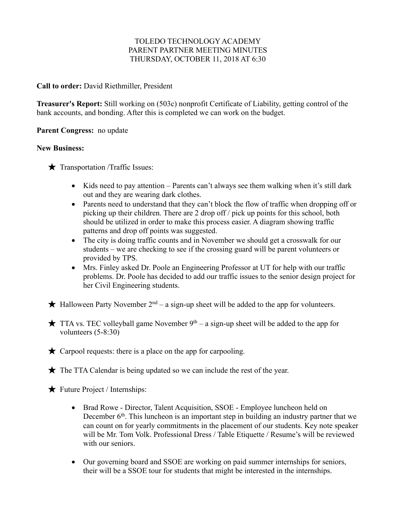## TOLEDO TECHNOLOGY ACADEMY PARENT PARTNER MEETING MINUTES THURSDAY, OCTOBER 11, 2018 AT 6:30

## **Call to order:** David Riethmiller, President

**Treasurer's Report:** Still working on (503c) nonprofit Certificate of Liability, getting control of the bank accounts, and bonding. After this is completed we can work on the budget.

**Parent Congress:** no update

## **New Business:**

 $\bigstar$  Transportation /Traffic Issues:

- Kids need to pay attention Parents can't always see them walking when it's still dark out and they are wearing dark clothes.
- Parents need to understand that they can't block the flow of traffic when dropping off or picking up their children. There are 2 drop off / pick up points for this school, both should be utilized in order to make this process easier. A diagram showing traffic patterns and drop off points was suggested.
- The city is doing traffic counts and in November we should get a crosswalk for our students – we are checking to see if the crossing guard will be parent volunteers or provided by TPS.
- Mrs. Finley asked Dr. Poole an Engineering Professor at UT for help with our traffic problems. Dr. Poole has decided to add our traffic issues to the senior design project for her Civil Engineering students.

 $\star$  Halloween Party November 2<sup>nd</sup> – a sign-up sheet will be added to the app for volunteers.

 $\star$  TTA vs. TEC volleyball game November 9<sup>th</sup> – a sign-up sheet will be added to the app for volunteers (5-8:30)

 $\star$  Carpool requests: there is a place on the app for carpooling.

 $\bigstar$  The TTA Calendar is being updated so we can include the rest of the year.

- $\bigstar$  Future Project / Internships:
	- Brad Rowe Director, Talent Acquisition, SSOE Employee luncheon held on December  $6<sup>th</sup>$ . This luncheon is an important step in building an industry partner that we can count on for yearly commitments in the placement of our students. Key note speaker will be Mr. Tom Volk. Professional Dress / Table Etiquette / Resume's will be reviewed with our seniors.
	- Our governing board and SSOE are working on paid summer internships for seniors, their will be a SSOE tour for students that might be interested in the internships.